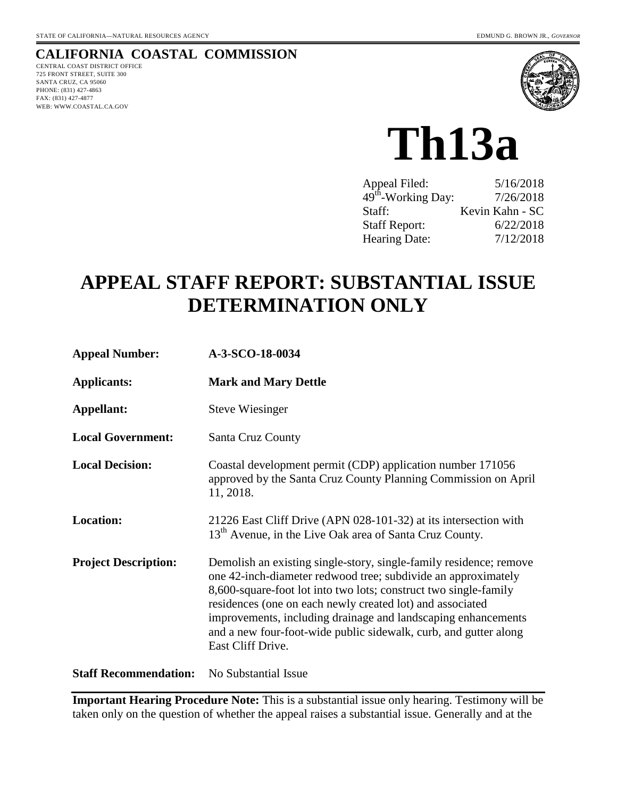#### **CALIFORNIA COASTAL COMMISSION**

CENTRAL COAST DISTRICT OFFICE 725 FRONT STREET, SUITE 300 SANTA CRUZ, CA 95060 PHONE: (831) 427-4863 FAX: (831) 427-4877 WEB: WWW.COASTAL.CA.GOV



**Th13a** 

| Appeal Filed:                  | 5/16/2018       |
|--------------------------------|-----------------|
| 49 <sup>th</sup> -Working Day: | 7/26/2018       |
| Staff:                         | Kevin Kahn - SC |
| <b>Staff Report:</b>           | 6/22/2018       |
| Hearing Date:                  | 7/12/2018       |

# **APPEAL STAFF REPORT: SUBSTANTIAL ISSUE DETERMINATION ONLY**

| <b>Appeal Number:</b>        | A-3-SCO-18-0034                                                                                                                                                                                                                                                                                                                                                                                                                |
|------------------------------|--------------------------------------------------------------------------------------------------------------------------------------------------------------------------------------------------------------------------------------------------------------------------------------------------------------------------------------------------------------------------------------------------------------------------------|
| <b>Applicants:</b>           | <b>Mark and Mary Dettle</b>                                                                                                                                                                                                                                                                                                                                                                                                    |
| Appellant:                   | <b>Steve Wiesinger</b>                                                                                                                                                                                                                                                                                                                                                                                                         |
| <b>Local Government:</b>     | Santa Cruz County                                                                                                                                                                                                                                                                                                                                                                                                              |
| <b>Local Decision:</b>       | Coastal development permit (CDP) application number 171056<br>approved by the Santa Cruz County Planning Commission on April<br>11, 2018.                                                                                                                                                                                                                                                                                      |
| <b>Location:</b>             | 21226 East Cliff Drive (APN 028-101-32) at its intersection with<br>13 <sup>th</sup> Avenue, in the Live Oak area of Santa Cruz County.                                                                                                                                                                                                                                                                                        |
| <b>Project Description:</b>  | Demolish an existing single-story, single-family residence; remove<br>one 42-inch-diameter redwood tree; subdivide an approximately<br>8,600-square-foot lot into two lots; construct two single-family<br>residences (one on each newly created lot) and associated<br>improvements, including drainage and landscaping enhancements<br>and a new four-foot-wide public sidewalk, curb, and gutter along<br>East Cliff Drive. |
| <b>Staff Recommendation:</b> | No Substantial Issue                                                                                                                                                                                                                                                                                                                                                                                                           |

**Important Hearing Procedure Note:** This is a substantial issue only hearing. Testimony will be taken only on the question of whether the appeal raises a substantial issue. Generally and at the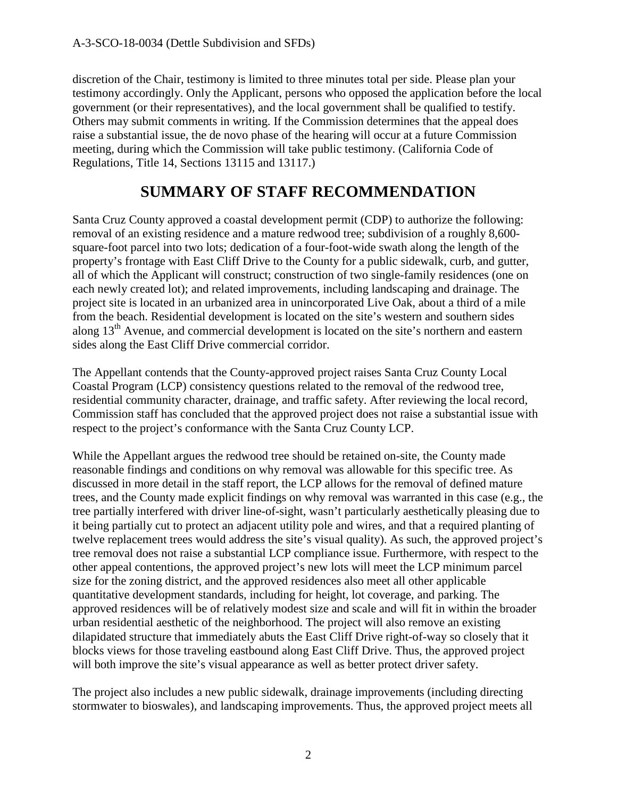discretion of the Chair, testimony is limited to three minutes total per side. Please plan your testimony accordingly. Only the Applicant, persons who opposed the application before the local government (or their representatives), and the local government shall be qualified to testify. Others may submit comments in writing. If the Commission determines that the appeal does raise a substantial issue, the de novo phase of the hearing will occur at a future Commission meeting, during which the Commission will take public testimony. (California Code of Regulations, Title 14, Sections 13115 and 13117.)

## **SUMMARY OF STAFF RECOMMENDATION**

Santa Cruz County approved a coastal development permit (CDP) to authorize the following: removal of an existing residence and a mature redwood tree; subdivision of a roughly 8,600 square-foot parcel into two lots; dedication of a four-foot-wide swath along the length of the property's frontage with East Cliff Drive to the County for a public sidewalk, curb, and gutter, all of which the Applicant will construct; construction of two single-family residences (one on each newly created lot); and related improvements, including landscaping and drainage. The project site is located in an urbanized area in unincorporated Live Oak, about a third of a mile from the beach. Residential development is located on the site's western and southern sides along 13<sup>th</sup> Avenue, and commercial development is located on the site's northern and eastern sides along the East Cliff Drive commercial corridor.

The Appellant contends that the County-approved project raises Santa Cruz County Local Coastal Program (LCP) consistency questions related to the removal of the redwood tree, residential community character, drainage, and traffic safety. After reviewing the local record, Commission staff has concluded that the approved project does not raise a substantial issue with respect to the project's conformance with the Santa Cruz County LCP.

While the Appellant argues the redwood tree should be retained on-site, the County made reasonable findings and conditions on why removal was allowable for this specific tree. As discussed in more detail in the staff report, the LCP allows for the removal of defined mature trees, and the County made explicit findings on why removal was warranted in this case (e.g., the tree partially interfered with driver line-of-sight, wasn't particularly aesthetically pleasing due to it being partially cut to protect an adjacent utility pole and wires, and that a required planting of twelve replacement trees would address the site's visual quality). As such, the approved project's tree removal does not raise a substantial LCP compliance issue. Furthermore, with respect to the other appeal contentions, the approved project's new lots will meet the LCP minimum parcel size for the zoning district, and the approved residences also meet all other applicable quantitative development standards, including for height, lot coverage, and parking. The approved residences will be of relatively modest size and scale and will fit in within the broader urban residential aesthetic of the neighborhood. The project will also remove an existing dilapidated structure that immediately abuts the East Cliff Drive right-of-way so closely that it blocks views for those traveling eastbound along East Cliff Drive. Thus, the approved project will both improve the site's visual appearance as well as better protect driver safety.

The project also includes a new public sidewalk, drainage improvements (including directing stormwater to bioswales), and landscaping improvements. Thus, the approved project meets all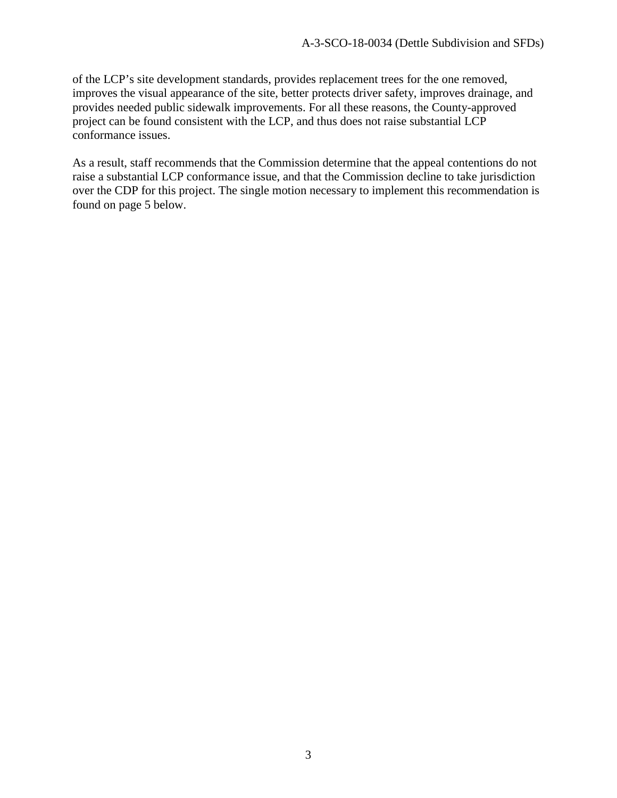of the LCP's site development standards, provides replacement trees for the one removed, improves the visual appearance of the site, better protects driver safety, improves drainage, and provides needed public sidewalk improvements. For all these reasons, the County-approved project can be found consistent with the LCP, and thus does not raise substantial LCP conformance issues.

As a result, staff recommends that the Commission determine that the appeal contentions do not raise a substantial LCP conformance issue, and that the Commission decline to take jurisdiction over the CDP for this project. The single motion necessary to implement this recommendation is found on page 5 below.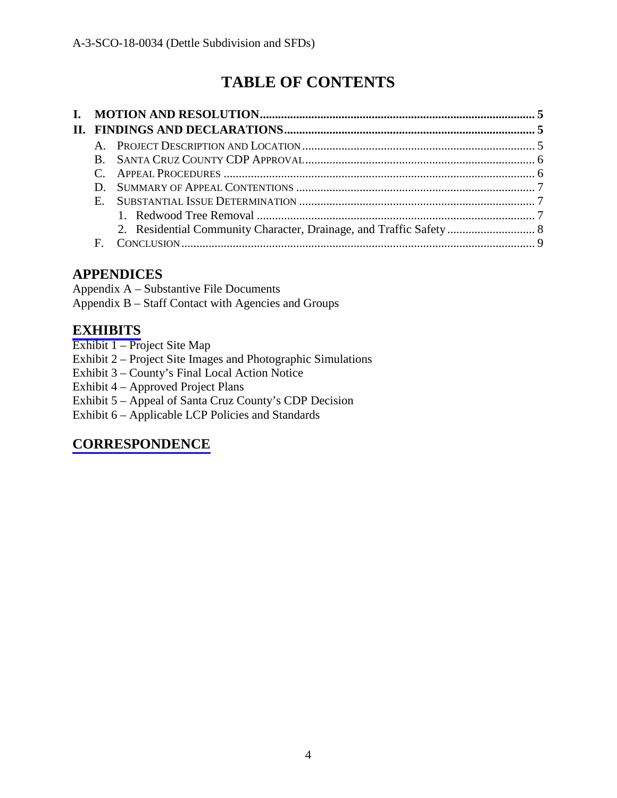# **TABLE OF CONTENTS**

## **APPENDICES**

Appendix A – Substantive File Documents Appendix B – Staff Contact with Agencies and Groups

## **[EXHIBITS](https://documents.coastal.ca.gov/reports/2018/7/th13a/th13a-7-2018-exhibits.pdf)**

- Exhibit 1 Project Site Map
- Exhibit 2 Project Site Images and Photographic Simulations
- Exhibit 3 County's Final Local Action Notice
- Exhibit 4 Approved Project Plans
- Exhibit 5 Appeal of Santa Cruz County's CDP Decision

Exhibit 6 – Applicable LCP Policies and Standards

## **[CORRESPONDENCE](https://documents.coastal.ca.gov/reports/2018/7/th13a/th13a-7-2018-corresp.pdf)**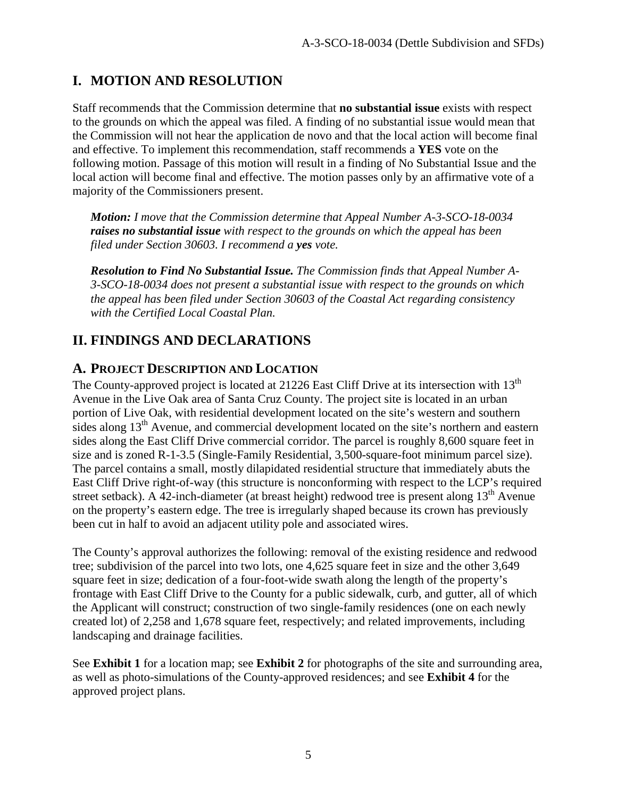## **I. MOTION AND RESOLUTION**

Staff recommends that the Commission determine that **no substantial issue** exists with respect to the grounds on which the appeal was filed. A finding of no substantial issue would mean that the Commission will not hear the application de novo and that the local action will become final and effective. To implement this recommendation, staff recommends a **YES** vote on the following motion. Passage of this motion will result in a finding of No Substantial Issue and the local action will become final and effective. The motion passes only by an affirmative vote of a majority of the Commissioners present.

*Motion: I move that the Commission determine that Appeal Number A-3-SCO-18-0034 raises no substantial issue with respect to the grounds on which the appeal has been filed under Section 30603. I recommend a yes vote.*

*Resolution to Find No Substantial Issue. The Commission finds that Appeal Number A-3-SCO-18-0034 does not present a substantial issue with respect to the grounds on which the appeal has been filed under Section 30603 of the Coastal Act regarding consistency with the Certified Local Coastal Plan.*

## **II. FINDINGS AND DECLARATIONS**

#### **A. PROJECT DESCRIPTION AND LOCATION**

The County-approved project is located at 21226 East Cliff Drive at its intersection with 13<sup>th</sup> Avenue in the Live Oak area of Santa Cruz County. The project site is located in an urban portion of Live Oak, with residential development located on the site's western and southern sides along  $13<sup>th</sup>$  Avenue, and commercial development located on the site's northern and eastern sides along the East Cliff Drive commercial corridor. The parcel is roughly 8,600 square feet in size and is zoned R-1-3.5 (Single-Family Residential, 3,500-square-foot minimum parcel size). The parcel contains a small, mostly dilapidated residential structure that immediately abuts the East Cliff Drive right-of-way (this structure is nonconforming with respect to the LCP's required street setback). A 42-inch-diameter (at breast height) redwood tree is present along  $13<sup>th</sup>$  Avenue on the property's eastern edge. The tree is irregularly shaped because its crown has previously been cut in half to avoid an adjacent utility pole and associated wires.

The County's approval authorizes the following: removal of the existing residence and redwood tree; subdivision of the parcel into two lots, one 4,625 square feet in size and the other 3,649 square feet in size; dedication of a four-foot-wide swath along the length of the property's frontage with East Cliff Drive to the County for a public sidewalk, curb, and gutter, all of which the Applicant will construct; construction of two single-family residences (one on each newly created lot) of 2,258 and 1,678 square feet, respectively; and related improvements, including landscaping and drainage facilities.

See **Exhibit 1** for a location map; see **Exhibit 2** for photographs of the site and surrounding area, as well as photo-simulations of the County-approved residences; and see **Exhibit 4** for the approved project plans.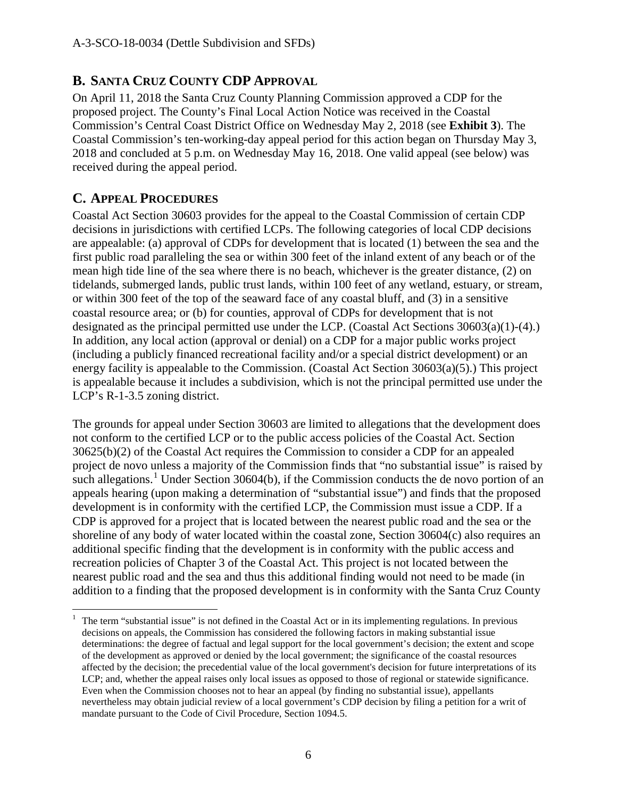#### **B. SANTA CRUZ COUNTY CDP APPROVAL**

On April 11, 2018 the Santa Cruz County Planning Commission approved a CDP for the proposed project. The County's Final Local Action Notice was received in the Coastal Commission's Central Coast District Office on Wednesday May 2, 2018 (see **Exhibit 3**). The Coastal Commission's ten-working-day appeal period for this action began on Thursday May 3, 2018 and concluded at 5 p.m. on Wednesday May 16, 2018. One valid appeal (see below) was received during the appeal period.

#### **C. APPEAL PROCEDURES**

Coastal Act Section 30603 provides for the appeal to the Coastal Commission of certain CDP decisions in jurisdictions with certified LCPs. The following categories of local CDP decisions are appealable: (a) approval of CDPs for development that is located (1) between the sea and the first public road paralleling the sea or within 300 feet of the inland extent of any beach or of the mean high tide line of the sea where there is no beach, whichever is the greater distance, (2) on tidelands, submerged lands, public trust lands, within 100 feet of any wetland, estuary, or stream, or within 300 feet of the top of the seaward face of any coastal bluff, and (3) in a sensitive coastal resource area; or (b) for counties, approval of CDPs for development that is not designated as the principal permitted use under the LCP. (Coastal Act Sections 30603(a)(1)-(4).) In addition, any local action (approval or denial) on a CDP for a major public works project (including a publicly financed recreational facility and/or a special district development) or an energy facility is appealable to the Commission. (Coastal Act Section 30603(a)(5).) This project is appealable because it includes a subdivision, which is not the principal permitted use under the LCP's R-1-3.5 zoning district.

The grounds for appeal under Section 30603 are limited to allegations that the development does not conform to the certified LCP or to the public access policies of the Coastal Act. Section 30625(b)(2) of the Coastal Act requires the Commission to consider a CDP for an appealed project de novo unless a majority of the Commission finds that "no substantial issue" is raised by such allegations.<sup>[1](#page-5-0)</sup> Under Section 30604(b), if the Commission conducts the de novo portion of an appeals hearing (upon making a determination of "substantial issue") and finds that the proposed development is in conformity with the certified LCP, the Commission must issue a CDP. If a CDP is approved for a project that is located between the nearest public road and the sea or the shoreline of any body of water located within the coastal zone, Section 30604(c) also requires an additional specific finding that the development is in conformity with the public access and recreation policies of Chapter 3 of the Coastal Act. This project is not located between the nearest public road and the sea and thus this additional finding would not need to be made (in addition to a finding that the proposed development is in conformity with the Santa Cruz County

<span id="page-5-0"></span> $\overline{a}$ 1 The term "substantial issue" is not defined in the Coastal Act or in its implementing regulations. In previous decisions on appeals, the Commission has considered the following factors in making substantial issue determinations: the degree of factual and legal support for the local government's decision; the extent and scope of the development as approved or denied by the local government; the significance of the coastal resources affected by the decision; the precedential value of the local government's decision for future interpretations of its LCP; and, whether the appeal raises only local issues as opposed to those of regional or statewide significance. Even when the Commission chooses not to hear an appeal (by finding no substantial issue), appellants nevertheless may obtain judicial review of a local government's CDP decision by filing a petition for a writ of mandate pursuant to the Code of Civil Procedure, Section 1094.5.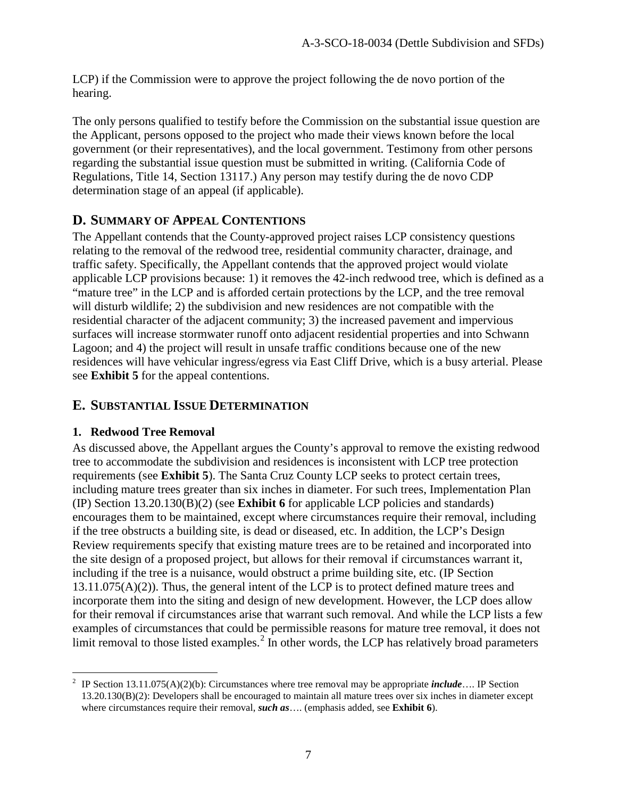LCP) if the Commission were to approve the project following the de novo portion of the hearing.

The only persons qualified to testify before the Commission on the substantial issue question are the Applicant, persons opposed to the project who made their views known before the local government (or their representatives), and the local government. Testimony from other persons regarding the substantial issue question must be submitted in writing. (California Code of Regulations, Title 14, Section 13117.) Any person may testify during the de novo CDP determination stage of an appeal (if applicable).

#### **D. SUMMARY OF APPEAL CONTENTIONS**

The Appellant contends that the County-approved project raises LCP consistency questions relating to the removal of the redwood tree, residential community character, drainage, and traffic safety. Specifically, the Appellant contends that the approved project would violate applicable LCP provisions because: 1) it removes the 42-inch redwood tree, which is defined as a "mature tree" in the LCP and is afforded certain protections by the LCP, and the tree removal will disturb wildlife; 2) the subdivision and new residences are not compatible with the residential character of the adjacent community; 3) the increased pavement and impervious surfaces will increase stormwater runoff onto adjacent residential properties and into Schwann Lagoon; and 4) the project will result in unsafe traffic conditions because one of the new residences will have vehicular ingress/egress via East Cliff Drive, which is a busy arterial. Please see **Exhibit 5** for the appeal contentions.

#### **E. SUBSTANTIAL ISSUE DETERMINATION**

#### **1. Redwood Tree Removal**

As discussed above, the Appellant argues the County's approval to remove the existing redwood tree to accommodate the subdivision and residences is inconsistent with LCP tree protection requirements (see **Exhibit 5**). The Santa Cruz County LCP seeks to protect certain trees, including mature trees greater than six inches in diameter. For such trees, Implementation Plan (IP) Section 13.20.130(B)(2) (see **Exhibit 6** for applicable LCP policies and standards) encourages them to be maintained, except where circumstances require their removal, including if the tree obstructs a building site, is dead or diseased, etc. In addition, the LCP's Design Review requirements specify that existing mature trees are to be retained and incorporated into the site design of a proposed project, but allows for their removal if circumstances warrant it, including if the tree is a nuisance, would obstruct a prime building site, etc. (IP Section 13.11.075(A)(2)). Thus, the general intent of the LCP is to protect defined mature trees and incorporate them into the siting and design of new development. However, the LCP does allow for their removal if circumstances arise that warrant such removal. And while the LCP lists a few examples of circumstances that could be permissible reasons for mature tree removal, it does not limit removal to those listed examples.<sup>[2](#page-6-0)</sup> In other words, the LCP has relatively broad parameters

<span id="page-6-0"></span> 2 IP Section 13.11.075(A)(2)(b): Circumstances where tree removal may be appropriate *include*…. IP Section 13.20.130(B)(2): Developers shall be encouraged to maintain all mature trees over six inches in diameter except where circumstances require their removal, *such as*…. (emphasis added, see **Exhibit 6**).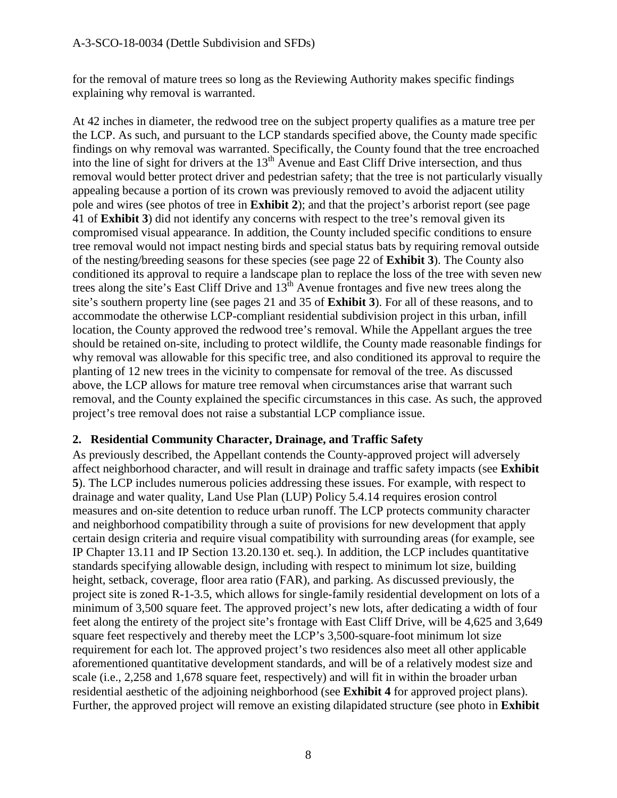for the removal of mature trees so long as the Reviewing Authority makes specific findings explaining why removal is warranted.

At 42 inches in diameter, the redwood tree on the subject property qualifies as a mature tree per the LCP. As such, and pursuant to the LCP standards specified above, the County made specific findings on why removal was warranted. Specifically, the County found that the tree encroached into the line of sight for drivers at the  $13<sup>th</sup>$  Avenue and East Cliff Drive intersection, and thus removal would better protect driver and pedestrian safety; that the tree is not particularly visually appealing because a portion of its crown was previously removed to avoid the adjacent utility pole and wires (see photos of tree in **Exhibit 2**); and that the project's arborist report (see page 41 of **Exhibit 3**) did not identify any concerns with respect to the tree's removal given its compromised visual appearance. In addition, the County included specific conditions to ensure tree removal would not impact nesting birds and special status bats by requiring removal outside of the nesting/breeding seasons for these species (see page 22 of **Exhibit 3**). The County also conditioned its approval to require a landscape plan to replace the loss of the tree with seven new trees along the site's East Cliff Drive and  $13^{\text{th}}$  Avenue frontages and five new trees along the site's southern property line (see pages 21 and 35 of **Exhibit 3**). For all of these reasons, and to accommodate the otherwise LCP-compliant residential subdivision project in this urban, infill location, the County approved the redwood tree's removal. While the Appellant argues the tree should be retained on-site, including to protect wildlife, the County made reasonable findings for why removal was allowable for this specific tree, and also conditioned its approval to require the planting of 12 new trees in the vicinity to compensate for removal of the tree. As discussed above, the LCP allows for mature tree removal when circumstances arise that warrant such removal, and the County explained the specific circumstances in this case. As such, the approved project's tree removal does not raise a substantial LCP compliance issue.

#### **2. Residential Community Character, Drainage, and Traffic Safety**

As previously described, the Appellant contends the County-approved project will adversely affect neighborhood character, and will result in drainage and traffic safety impacts (see **Exhibit 5**). The LCP includes numerous policies addressing these issues. For example, with respect to drainage and water quality, Land Use Plan (LUP) Policy 5.4.14 requires erosion control measures and on-site detention to reduce urban runoff. The LCP protects community character and neighborhood compatibility through a suite of provisions for new development that apply certain design criteria and require visual compatibility with surrounding areas (for example, see IP Chapter 13.11 and IP Section 13.20.130 et. seq.). In addition, the LCP includes quantitative standards specifying allowable design, including with respect to minimum lot size, building height, setback, coverage, floor area ratio (FAR), and parking. As discussed previously, the project site is zoned R-1-3.5, which allows for single-family residential development on lots of a minimum of 3,500 square feet. The approved project's new lots, after dedicating a width of four feet along the entirety of the project site's frontage with East Cliff Drive, will be 4,625 and 3,649 square feet respectively and thereby meet the LCP's 3,500-square-foot minimum lot size requirement for each lot. The approved project's two residences also meet all other applicable aforementioned quantitative development standards, and will be of a relatively modest size and scale (i.e., 2,258 and 1,678 square feet, respectively) and will fit in within the broader urban residential aesthetic of the adjoining neighborhood (see **Exhibit 4** for approved project plans). Further, the approved project will remove an existing dilapidated structure (see photo in **Exhibit**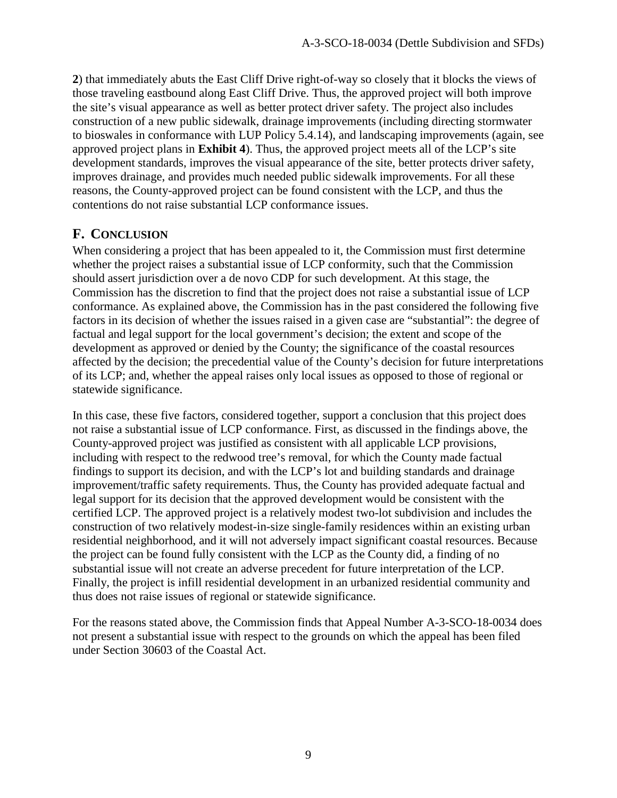**2**) that immediately abuts the East Cliff Drive right-of-way so closely that it blocks the views of those traveling eastbound along East Cliff Drive. Thus, the approved project will both improve the site's visual appearance as well as better protect driver safety. The project also includes construction of a new public sidewalk, drainage improvements (including directing stormwater to bioswales in conformance with LUP Policy 5.4.14), and landscaping improvements (again, see approved project plans in **Exhibit 4**). Thus, the approved project meets all of the LCP's site development standards, improves the visual appearance of the site, better protects driver safety, improves drainage, and provides much needed public sidewalk improvements. For all these reasons, the County-approved project can be found consistent with the LCP, and thus the contentions do not raise substantial LCP conformance issues.

#### **F. CONCLUSION**

When considering a project that has been appealed to it, the Commission must first determine whether the project raises a substantial issue of LCP conformity, such that the Commission should assert jurisdiction over a de novo CDP for such development. At this stage, the Commission has the discretion to find that the project does not raise a substantial issue of LCP conformance. As explained above, the Commission has in the past considered the following five factors in its decision of whether the issues raised in a given case are "substantial": the degree of factual and legal support for the local government's decision; the extent and scope of the development as approved or denied by the County; the significance of the coastal resources affected by the decision; the precedential value of the County's decision for future interpretations of its LCP; and, whether the appeal raises only local issues as opposed to those of regional or statewide significance.

In this case, these five factors, considered together, support a conclusion that this project does not raise a substantial issue of LCP conformance. First, as discussed in the findings above, the County-approved project was justified as consistent with all applicable LCP provisions, including with respect to the redwood tree's removal, for which the County made factual findings to support its decision, and with the LCP's lot and building standards and drainage improvement/traffic safety requirements. Thus, the County has provided adequate factual and legal support for its decision that the approved development would be consistent with the certified LCP. The approved project is a relatively modest two-lot subdivision and includes the construction of two relatively modest-in-size single-family residences within an existing urban residential neighborhood, and it will not adversely impact significant coastal resources. Because the project can be found fully consistent with the LCP as the County did, a finding of no substantial issue will not create an adverse precedent for future interpretation of the LCP. Finally, the project is infill residential development in an urbanized residential community and thus does not raise issues of regional or statewide significance.

For the reasons stated above, the Commission finds that Appeal Number A-3-SCO-18-0034 does not present a substantial issue with respect to the grounds on which the appeal has been filed under Section 30603 of the Coastal Act.